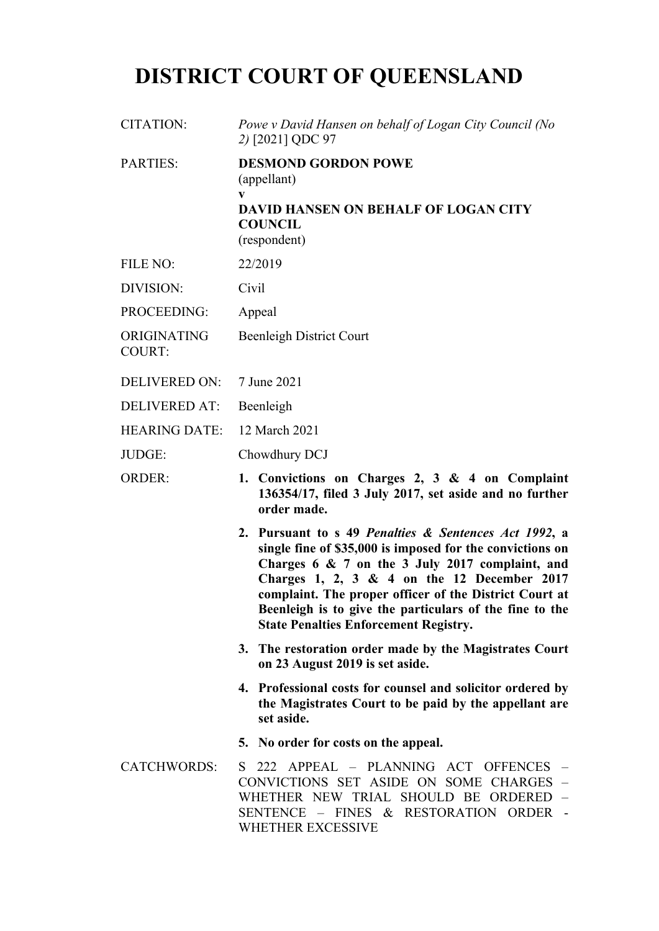# **DISTRICT COURT OF QUEENSLAND**

| <b>CITATION:</b>             | Powe v David Hansen on behalf of Logan City Council (No<br>2) [2021] QDC 97                                                                                                                                                                                                                                                                                                               |
|------------------------------|-------------------------------------------------------------------------------------------------------------------------------------------------------------------------------------------------------------------------------------------------------------------------------------------------------------------------------------------------------------------------------------------|
| <b>PARTIES:</b>              | <b>DESMOND GORDON POWE</b><br>(appellant)<br>$\mathbf{V}$<br><b>DAVID HANSEN ON BEHALF OF LOGAN CITY</b><br><b>COUNCIL</b><br>(respondent)                                                                                                                                                                                                                                                |
| <b>FILE NO:</b>              | 22/2019                                                                                                                                                                                                                                                                                                                                                                                   |
| DIVISION:                    | Civil                                                                                                                                                                                                                                                                                                                                                                                     |
| PROCEEDING:                  | Appeal                                                                                                                                                                                                                                                                                                                                                                                    |
| ORIGINATING<br><b>COURT:</b> | <b>Beenleigh District Court</b>                                                                                                                                                                                                                                                                                                                                                           |
| <b>DELIVERED ON:</b>         | 7 June 2021                                                                                                                                                                                                                                                                                                                                                                               |
| <b>DELIVERED AT:</b>         | Beenleigh                                                                                                                                                                                                                                                                                                                                                                                 |
| <b>HEARING DATE:</b>         | 12 March 2021                                                                                                                                                                                                                                                                                                                                                                             |
| JUDGE:                       | Chowdhury DCJ                                                                                                                                                                                                                                                                                                                                                                             |
| <b>ORDER:</b>                | 1. Convictions on Charges 2, 3 & 4 on Complaint<br>136354/17, filed 3 July 2017, set aside and no further<br>order made.                                                                                                                                                                                                                                                                  |
|                              | 2. Pursuant to s 49 Penalties & Sentences Act 1992, a<br>single fine of \$35,000 is imposed for the convictions on<br>Charges 6 & 7 on the 3 July 2017 complaint, and<br>Charges 1, 2, 3 & 4 on the 12 December 2017<br>complaint. The proper officer of the District Court at<br>Beenleigh is to give the particulars of the fine to the<br><b>State Penalties Enforcement Registry.</b> |
|                              | 3. The restoration order made by the Magistrates Court<br>on 23 August 2019 is set aside.                                                                                                                                                                                                                                                                                                 |
|                              | 4. Professional costs for counsel and solicitor ordered by<br>the Magistrates Court to be paid by the appellant are<br>set aside.                                                                                                                                                                                                                                                         |
|                              | 5. No order for costs on the appeal.                                                                                                                                                                                                                                                                                                                                                      |
| <b>CATCHWORDS:</b>           | S 222 APPEAL - PLANNING ACT OFFENCES<br>CONVICTIONS SET ASIDE ON SOME CHARGES -<br>WHETHER NEW TRIAL SHOULD BE ORDERED -<br>SENTENCE - FINES & RESTORATION ORDER -<br>WHETHER EXCESSIVE                                                                                                                                                                                                   |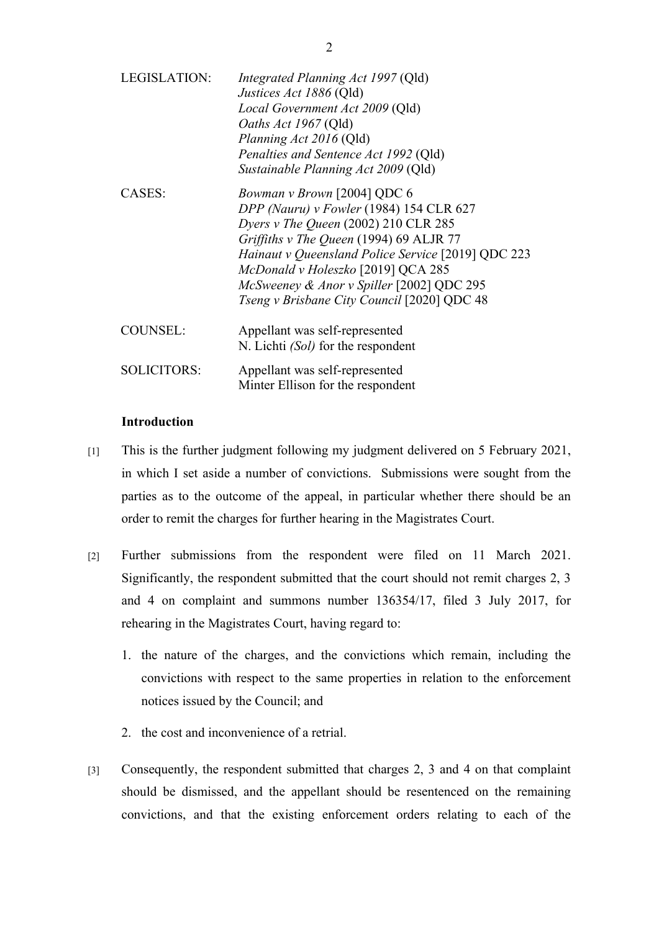| <b>LEGISLATION:</b> | Integrated Planning Act 1997 (Qld)<br>Justices Act 1886 (Qld)<br>Local Government Act 2009 (Qld)<br>Oaths Act 1967 (Qld)<br>Planning Act 2016 (Qld)<br>Penalties and Sentence Act 1992 (Qld)<br>Sustainable Planning Act 2009 (Qld)                                                                                                               |
|---------------------|---------------------------------------------------------------------------------------------------------------------------------------------------------------------------------------------------------------------------------------------------------------------------------------------------------------------------------------------------|
| CASES:              | Bowman v Brown [2004] QDC 6<br>DPP (Nauru) v Fowler (1984) 154 CLR 627<br>Dyers v The Queen (2002) 210 CLR 285<br>Griffiths v The Queen (1994) 69 ALJR 77<br>Hainaut v Queensland Police Service [2019] QDC 223<br>McDonald v Holeszko [2019] QCA 285<br>McSweeney & Anor v Spiller [2002] QDC 295<br>Tseng v Brisbane City Council [2020] QDC 48 |
| <b>COUNSEL:</b>     | Appellant was self-represented<br>N. Lichti (Sol) for the respondent                                                                                                                                                                                                                                                                              |
| <b>SOLICITORS:</b>  | Appellant was self-represented<br>Minter Ellison for the respondent                                                                                                                                                                                                                                                                               |

## **Introduction**

- [1] This is the further judgment following my judgment delivered on 5 February 2021, in which I set aside a number of convictions. Submissions were sought from the parties as to the outcome of the appeal, in particular whether there should be an order to remit the charges for further hearing in the Magistrates Court.
- [2] Further submissions from the respondent were filed on 11 March 2021. Significantly, the respondent submitted that the court should not remit charges 2, 3 and 4 on complaint and summons number 136354/17, filed 3 July 2017, for rehearing in the Magistrates Court, having regard to:
	- 1. the nature of the charges, and the convictions which remain, including the convictions with respect to the same properties in relation to the enforcement notices issued by the Council; and
	- 2. the cost and inconvenience of a retrial.
- [3] Consequently, the respondent submitted that charges 2, 3 and 4 on that complaint should be dismissed, and the appellant should be resentenced on the remaining convictions, and that the existing enforcement orders relating to each of the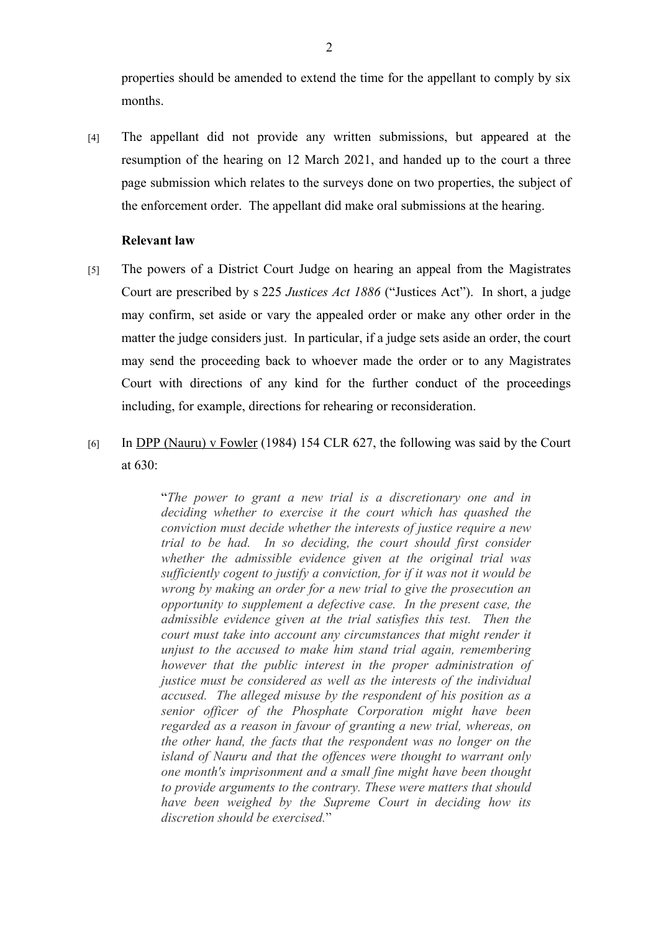properties should be amended to extend the time for the appellant to comply by six months.

[4] The appellant did not provide any written submissions, but appeared at the resumption of the hearing on 12 March 2021, and handed up to the court a three page submission which relates to the surveys done on two properties, the subject of the enforcement order. The appellant did make oral submissions at the hearing.

# **Relevant law**

- [5] The powers of a District Court Judge on hearing an appeal from the Magistrates Court are prescribed by s 225 *Justices Act 1886* ("Justices Act"). In short, a judge may confirm, set aside or vary the appealed order or make any other order in the matter the judge considers just. In particular, if a judge sets aside an order, the court may send the proceeding back to whoever made the order or to any Magistrates Court with directions of any kind for the further conduct of the proceedings including, for example, directions for rehearing or reconsideration.
- [6] In DPP (Nauru) v Fowler (1984) 154 CLR 627, the following was said by the Court at 630:

"*The power to grant a new trial is a discretionary one and in deciding whether to exercise it the court which has quashed the conviction must decide whether the interests of justice require a new trial to be had. In so deciding, the court should first consider whether the admissible evidence given at the original trial was sufficiently cogent to justify a conviction, for if it was not it would be wrong by making an order for a new trial to give the prosecution an opportunity to supplement a defective case. In the present case, the admissible evidence given at the trial satisfies this test. Then the court must take into account any circumstances that might render it unjust to the accused to make him stand trial again, remembering however that the public interest in the proper administration of justice must be considered as well as the interests of the individual accused. The alleged misuse by the respondent of his position as a senior officer of the Phosphate Corporation might have been regarded as a reason in favour of granting a new trial, whereas, on the other hand, the facts that the respondent was no longer on the island of Nauru and that the offences were thought to warrant only one month's imprisonment and a small fine might have been thought to provide arguments to the contrary. These were matters that should have been weighed by the Supreme Court in deciding how its discretion should be exercised.*"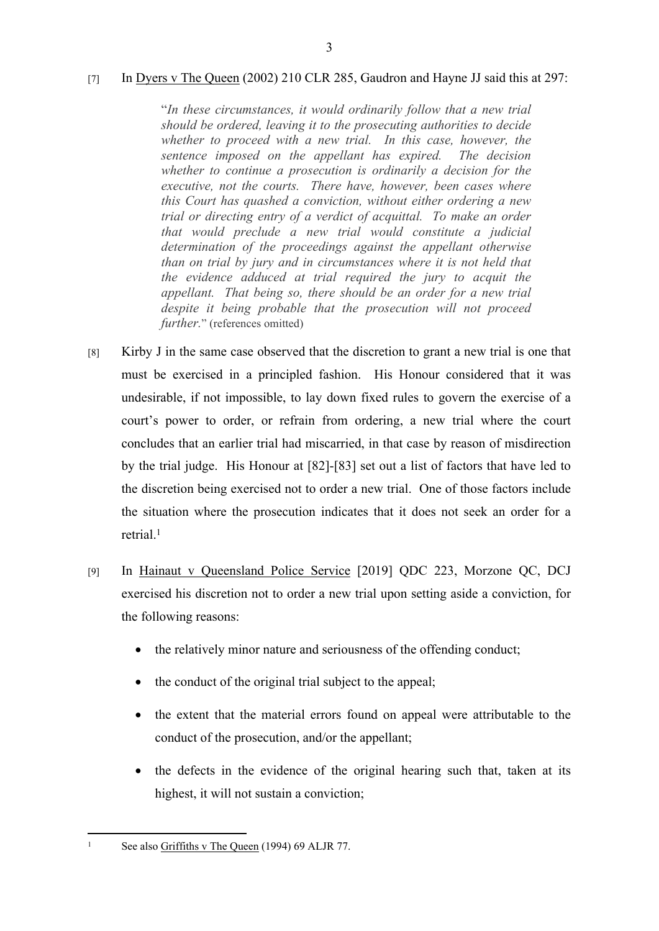## [7] In Dyers v The Queen (2002) 210 CLR 285, Gaudron and Hayne JJ said this at 297:

"*In these circumstances, it would ordinarily follow that a new trial should be ordered, leaving it to the prosecuting authorities to decide whether to proceed with a new trial. In this case, however, the sentence imposed on the appellant has expired. The decision whether to continue a prosecution is ordinarily a decision for the executive, not the courts. There have, however, been cases where this Court has quashed a conviction, without either ordering a new trial or directing entry of a verdict of acquittal. To make an order that would preclude a new trial would constitute a judicial determination of the proceedings against the appellant otherwise than on trial by jury and in circumstances where it is not held that the evidence adduced at trial required the jury to acquit the appellant. That being so, there should be an order for a new trial despite it being probable that the prosecution will not proceed further.*" (references omitted)

- [8] Kirby J in the same case observed that the discretion to grant a new trial is one that must be exercised in a principled fashion. His Honour considered that it was undesirable, if not impossible, to lay down fixed rules to govern the exercise of a court's power to order, or refrain from ordering, a new trial where the court concludes that an earlier trial had miscarried, in that case by reason of misdirection by the trial judge. His Honour at [82]-[83] set out a list of factors that have led to the discretion being exercised not to order a new trial. One of those factors include the situation where the prosecution indicates that it does not seek an order for a retrial.<sup>1</sup>
- [9] In Hainaut v Queensland Police Service [2019] QDC 223, Morzone QC, DCJ exercised his discretion not to order a new trial upon setting aside a conviction, for the following reasons:
	- the relatively minor nature and seriousness of the offending conduct;
	- the conduct of the original trial subject to the appeal;
	- the extent that the material errors found on appeal were attributable to the conduct of the prosecution, and/or the appellant;
	- the defects in the evidence of the original hearing such that, taken at its highest, it will not sustain a conviction;

<sup>1</sup> See also Griffiths v The Queen (1994) 69 ALJR 77.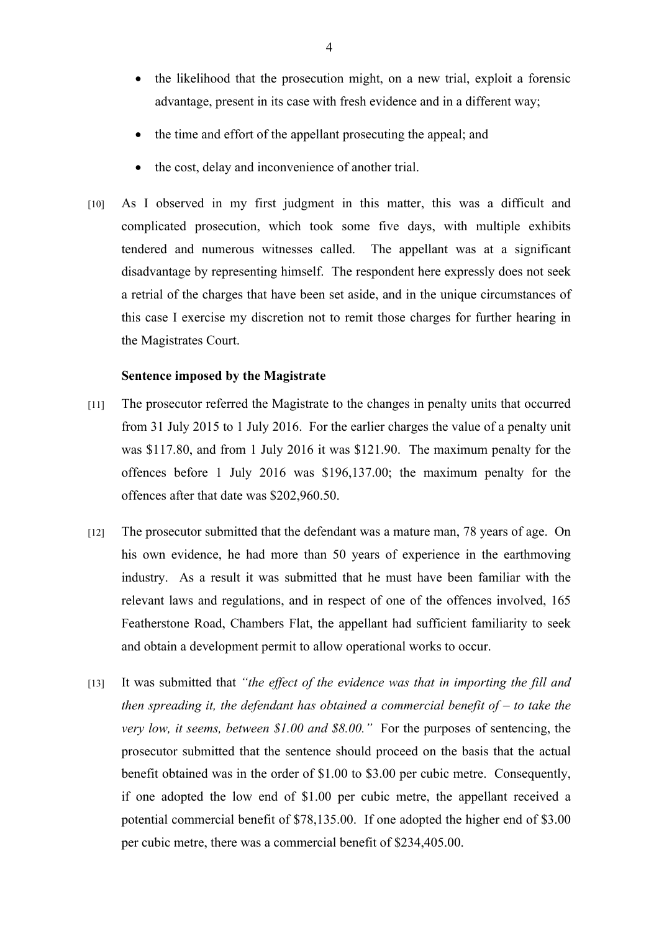- the likelihood that the prosecution might, on a new trial, exploit a forensic advantage, present in its case with fresh evidence and in a different way;
- the time and effort of the appellant prosecuting the appeal; and
- the cost, delay and inconvenience of another trial.
- [10] As I observed in my first judgment in this matter, this was a difficult and complicated prosecution, which took some five days, with multiple exhibits tendered and numerous witnesses called. The appellant was at a significant disadvantage by representing himself. The respondent here expressly does not seek a retrial of the charges that have been set aside, and in the unique circumstances of this case I exercise my discretion not to remit those charges for further hearing in the Magistrates Court.

#### **Sentence imposed by the Magistrate**

- [11] The prosecutor referred the Magistrate to the changes in penalty units that occurred from 31 July 2015 to 1 July 2016. For the earlier charges the value of a penalty unit was \$117.80, and from 1 July 2016 it was \$121.90. The maximum penalty for the offences before 1 July 2016 was \$196,137.00; the maximum penalty for the offences after that date was \$202,960.50.
- [12] The prosecutor submitted that the defendant was a mature man, 78 years of age. On his own evidence, he had more than 50 years of experience in the earthmoving industry. As a result it was submitted that he must have been familiar with the relevant laws and regulations, and in respect of one of the offences involved, 165 Featherstone Road, Chambers Flat, the appellant had sufficient familiarity to seek and obtain a development permit to allow operational works to occur.
- [13] It was submitted that *"the effect of the evidence was that in importing the fill and then spreading it, the defendant has obtained a commercial benefit of – to take the very low, it seems, between \$1.00 and \$8.00."* For the purposes of sentencing, the prosecutor submitted that the sentence should proceed on the basis that the actual benefit obtained was in the order of \$1.00 to \$3.00 per cubic metre. Consequently, if one adopted the low end of \$1.00 per cubic metre, the appellant received a potential commercial benefit of \$78,135.00. If one adopted the higher end of \$3.00 per cubic metre, there was a commercial benefit of \$234,405.00.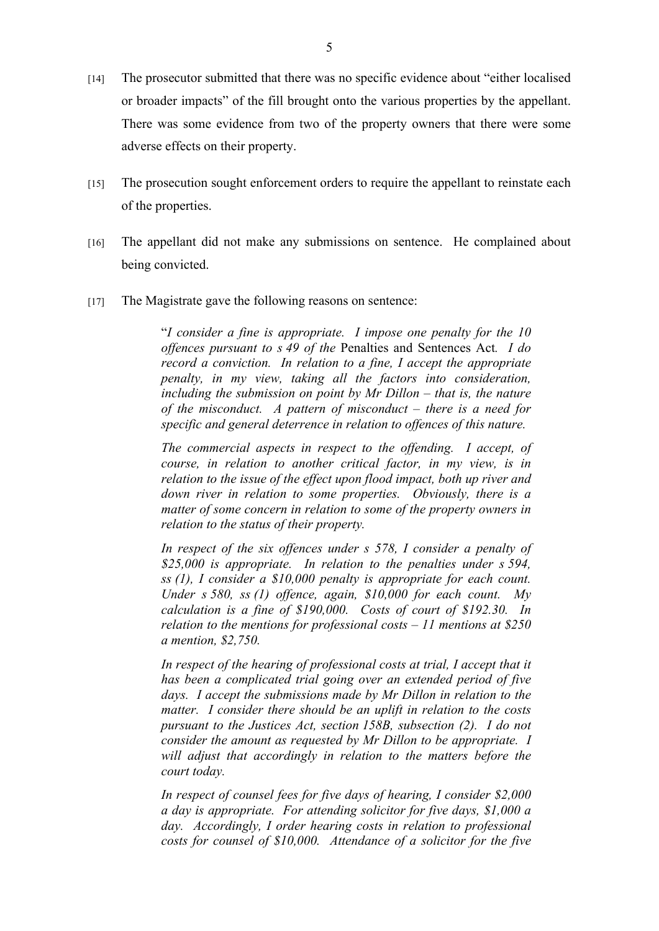- [14] The prosecutor submitted that there was no specific evidence about "either localised or broader impacts" of the fill brought onto the various properties by the appellant. There was some evidence from two of the property owners that there were some adverse effects on their property.
- [15] The prosecution sought enforcement orders to require the appellant to reinstate each of the properties.
- [16] The appellant did not make any submissions on sentence. He complained about being convicted.
- [17] The Magistrate gave the following reasons on sentence:

"*I consider a fine is appropriate. I impose one penalty for the 10 offences pursuant to s 49 of the* Penalties and Sentences Act*. I do record a conviction. In relation to a fine, I accept the appropriate penalty, in my view, taking all the factors into consideration, including the submission on point by Mr Dillon – that is, the nature of the misconduct. A pattern of misconduct – there is a need for specific and general deterrence in relation to offences of this nature.* 

*The commercial aspects in respect to the offending. I accept, of course, in relation to another critical factor, in my view, is in relation to the issue of the effect upon flood impact, both up river and down river in relation to some properties. Obviously, there is a matter of some concern in relation to some of the property owners in relation to the status of their property.*

*In respect of the six offences under s 578, I consider a penalty of \$25,000 is appropriate. In relation to the penalties under s 594, ss (1), I consider a \$10,000 penalty is appropriate for each count. Under s 580, ss (1) offence, again, \$10,000 for each count. My calculation is a fine of \$190,000. Costs of court of \$192.30. In relation to the mentions for professional costs – 11 mentions at \$250 a mention, \$2,750.*

In respect of the hearing of professional costs at trial, I accept that it *has been a complicated trial going over an extended period of five days. I accept the submissions made by Mr Dillon in relation to the matter. I consider there should be an uplift in relation to the costs pursuant to the Justices Act, section 158B, subsection (2). I do not consider the amount as requested by Mr Dillon to be appropriate. I*  will adjust that accordingly in relation to the matters before the *court today.*

*In respect of counsel fees for five days of hearing, I consider \$2,000 a day is appropriate. For attending solicitor for five days, \$1,000 a day. Accordingly, I order hearing costs in relation to professional costs for counsel of \$10,000. Attendance of a solicitor for the five*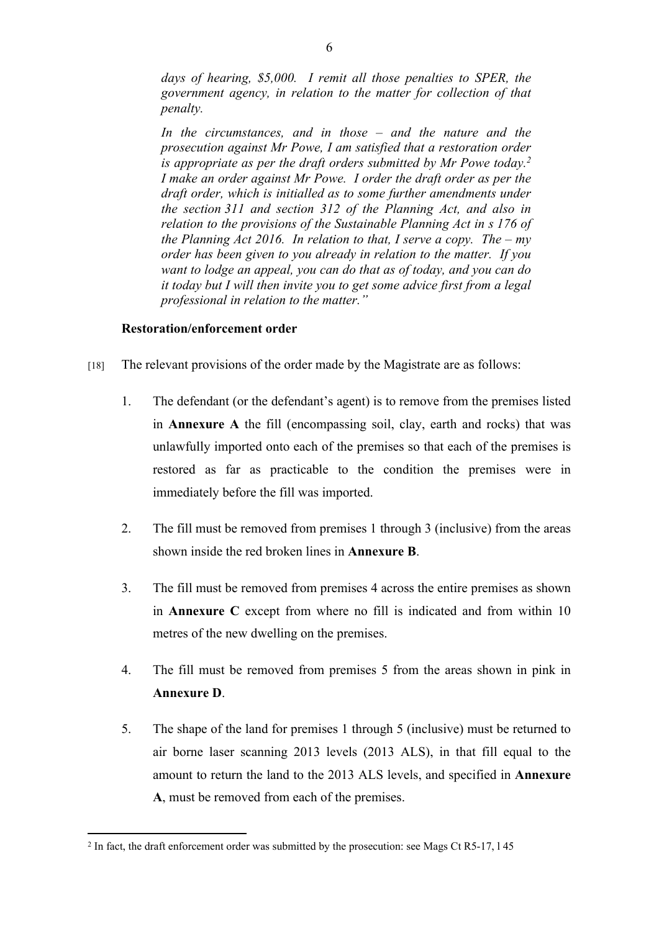*days of hearing, \$5,000. I remit all those penalties to SPER, the government agency, in relation to the matter for collection of that penalty.*

*In the circumstances, and in those – and the nature and the prosecution against Mr Powe, I am satisfied that a restoration order is appropriate as per the draft orders submitted by Mr Powe today.<sup>2</sup> I make an order against Mr Powe. I order the draft order as per the draft order, which is initialled as to some further amendments under the section 311 and section 312 of the Planning Act, and also in relation to the provisions of the Sustainable Planning Act in s 176 of the Planning Act 2016. In relation to that, I serve a copy. The – my order has been given to you already in relation to the matter. If you want to lodge an appeal, you can do that as of today, and you can do it today but I will then invite you to get some advice first from a legal professional in relation to the matter."*

## **Restoration/enforcement order**

- [18] The relevant provisions of the order made by the Magistrate are as follows:
	- 1. The defendant (or the defendant's agent) is to remove from the premises listed in **Annexure A** the fill (encompassing soil, clay, earth and rocks) that was unlawfully imported onto each of the premises so that each of the premises is restored as far as practicable to the condition the premises were in immediately before the fill was imported.
	- 2. The fill must be removed from premises 1 through 3 (inclusive) from the areas shown inside the red broken lines in **Annexure B**.
	- 3. The fill must be removed from premises 4 across the entire premises as shown in **Annexure C** except from where no fill is indicated and from within 10 metres of the new dwelling on the premises.
	- 4. The fill must be removed from premises 5 from the areas shown in pink in **Annexure D**.
	- 5. The shape of the land for premises 1 through 5 (inclusive) must be returned to air borne laser scanning 2013 levels (2013 ALS), in that fill equal to the amount to return the land to the 2013 ALS levels, and specified in **Annexure A**, must be removed from each of the premises.

<sup>&</sup>lt;sup>2</sup> In fact, the draft enforcement order was submitted by the prosecution: see Mags Ct R5-17, 145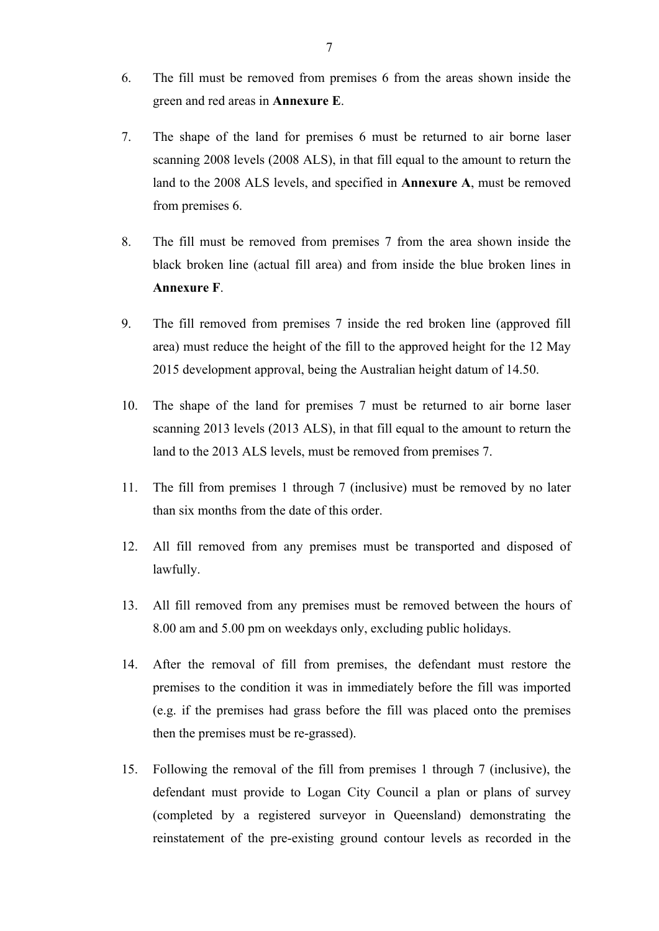- 6. The fill must be removed from premises 6 from the areas shown inside the green and red areas in **Annexure E**.
- 7. The shape of the land for premises 6 must be returned to air borne laser scanning 2008 levels (2008 ALS), in that fill equal to the amount to return the land to the 2008 ALS levels, and specified in **Annexure A**, must be removed from premises 6.
- 8. The fill must be removed from premises 7 from the area shown inside the black broken line (actual fill area) and from inside the blue broken lines in **Annexure F**.
- 9. The fill removed from premises 7 inside the red broken line (approved fill area) must reduce the height of the fill to the approved height for the 12 May 2015 development approval, being the Australian height datum of 14.50.
- 10. The shape of the land for premises 7 must be returned to air borne laser scanning 2013 levels (2013 ALS), in that fill equal to the amount to return the land to the 2013 ALS levels, must be removed from premises 7.
- 11. The fill from premises 1 through 7 (inclusive) must be removed by no later than six months from the date of this order.
- 12. All fill removed from any premises must be transported and disposed of lawfully.
- 13. All fill removed from any premises must be removed between the hours of 8.00 am and 5.00 pm on weekdays only, excluding public holidays.
- 14. After the removal of fill from premises, the defendant must restore the premises to the condition it was in immediately before the fill was imported (e.g. if the premises had grass before the fill was placed onto the premises then the premises must be re-grassed).
- 15. Following the removal of the fill from premises 1 through 7 (inclusive), the defendant must provide to Logan City Council a plan or plans of survey (completed by a registered surveyor in Queensland) demonstrating the reinstatement of the pre-existing ground contour levels as recorded in the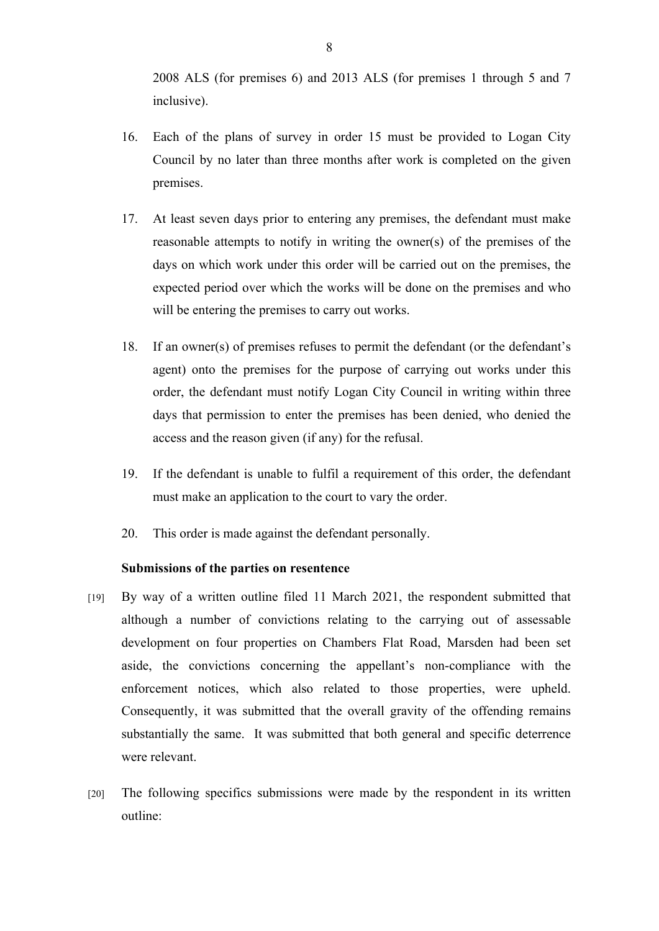2008 ALS (for premises 6) and 2013 ALS (for premises 1 through 5 and 7 inclusive).

- 16. Each of the plans of survey in order 15 must be provided to Logan City Council by no later than three months after work is completed on the given premises.
- 17. At least seven days prior to entering any premises, the defendant must make reasonable attempts to notify in writing the owner(s) of the premises of the days on which work under this order will be carried out on the premises, the expected period over which the works will be done on the premises and who will be entering the premises to carry out works.
- 18. If an owner(s) of premises refuses to permit the defendant (or the defendant's agent) onto the premises for the purpose of carrying out works under this order, the defendant must notify Logan City Council in writing within three days that permission to enter the premises has been denied, who denied the access and the reason given (if any) for the refusal.
- 19. If the defendant is unable to fulfil a requirement of this order, the defendant must make an application to the court to vary the order.
- 20. This order is made against the defendant personally.

#### **Submissions of the parties on resentence**

- [19] By way of a written outline filed 11 March 2021, the respondent submitted that although a number of convictions relating to the carrying out of assessable development on four properties on Chambers Flat Road, Marsden had been set aside, the convictions concerning the appellant's non-compliance with the enforcement notices, which also related to those properties, were upheld. Consequently, it was submitted that the overall gravity of the offending remains substantially the same. It was submitted that both general and specific deterrence were relevant.
- [20] The following specifics submissions were made by the respondent in its written outline: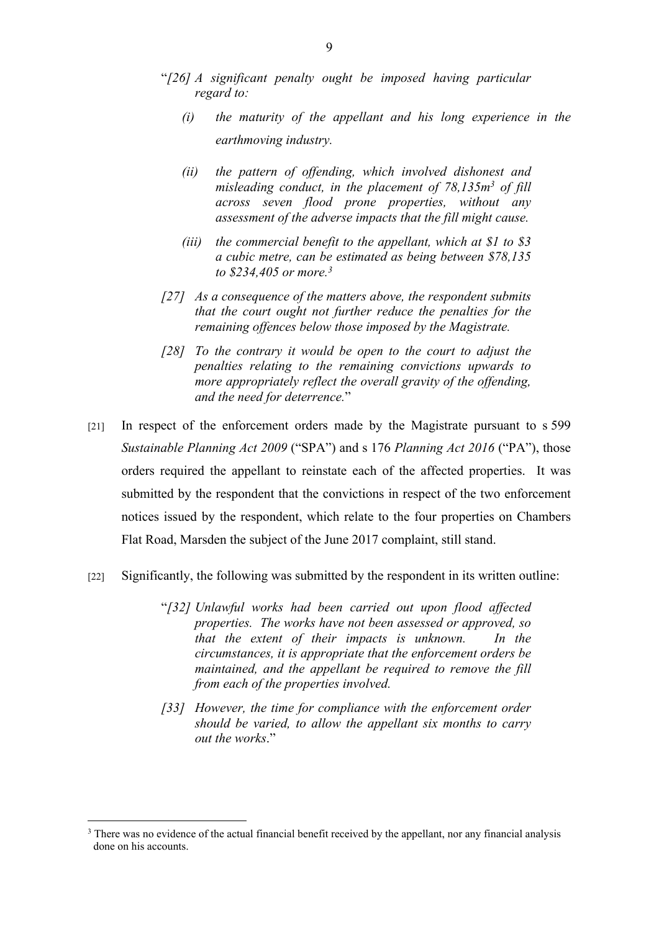- "*[26] A significant penalty ought be imposed having particular regard to:* 
	- *(i) the maturity of the appellant and his long experience in the earthmoving industry.*
	- *(ii) the pattern of offending, which involved dishonest and misleading conduct, in the placement of 78,135m<sup>3</sup> of fill across seven flood prone properties, without any assessment of the adverse impacts that the fill might cause.*
	- *(iii) the commercial benefit to the appellant, which at \$1 to \$3 a cubic metre, can be estimated as being between \$78,135 to \$234,405 or more.<sup>3</sup>*
- *[27] As a consequence of the matters above, the respondent submits that the court ought not further reduce the penalties for the remaining offences below those imposed by the Magistrate.*
- *[28] To the contrary it would be open to the court to adjust the penalties relating to the remaining convictions upwards to more appropriately reflect the overall gravity of the offending, and the need for deterrence.*"
- [21] In respect of the enforcement orders made by the Magistrate pursuant to s 599 *Sustainable Planning Act 2009* ("SPA") and s 176 *Planning Act 2016* ("PA"), those orders required the appellant to reinstate each of the affected properties. It was submitted by the respondent that the convictions in respect of the two enforcement notices issued by the respondent, which relate to the four properties on Chambers Flat Road, Marsden the subject of the June 2017 complaint, still stand.
- [22] Significantly, the following was submitted by the respondent in its written outline:
	- "*[32] Unlawful works had been carried out upon flood affected properties. The works have not been assessed or approved, so that the extent of their impacts is unknown. In the circumstances, it is appropriate that the enforcement orders be maintained, and the appellant be required to remove the fill from each of the properties involved.*
	- *[33] However, the time for compliance with the enforcement order should be varied, to allow the appellant six months to carry out the works*."

<sup>&</sup>lt;sup>3</sup> There was no evidence of the actual financial benefit received by the appellant, nor any financial analysis done on his accounts.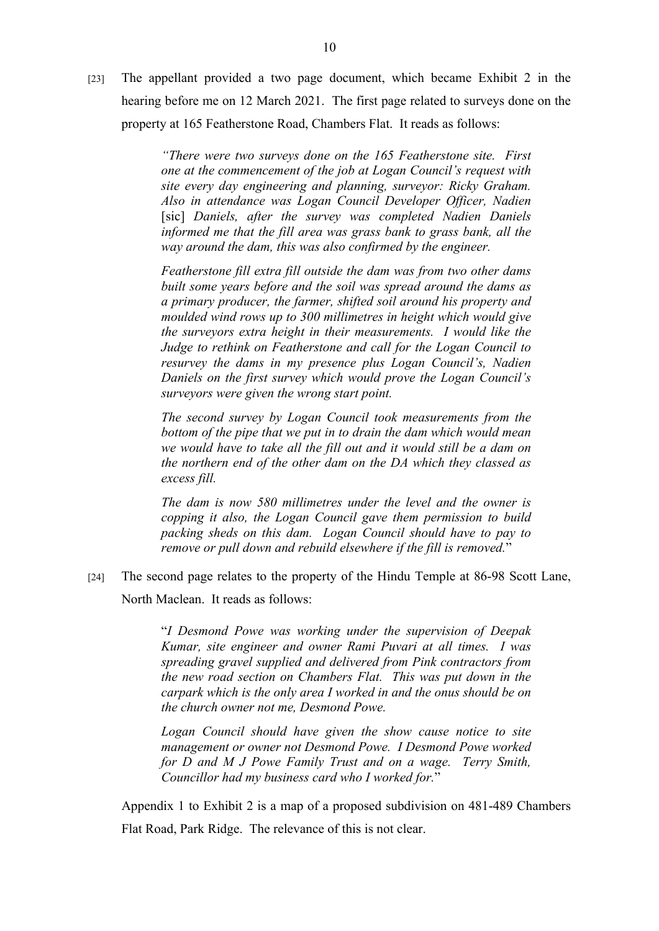[23] The appellant provided a two page document, which became Exhibit 2 in the hearing before me on 12 March 2021. The first page related to surveys done on the property at 165 Featherstone Road, Chambers Flat. It reads as follows:

> *"There were two surveys done on the 165 Featherstone site. First one at the commencement of the job at Logan Council's request with site every day engineering and planning, surveyor: Ricky Graham. Also in attendance was Logan Council Developer Officer, Nadien*  [sic] Daniels, after the survey was completed Nadien Daniels *informed me that the fill area was grass bank to grass bank, all the way around the dam, this was also confirmed by the engineer.*

> *Featherstone fill extra fill outside the dam was from two other dams built some years before and the soil was spread around the dams as a primary producer, the farmer, shifted soil around his property and moulded wind rows up to 300 millimetres in height which would give the surveyors extra height in their measurements. I would like the Judge to rethink on Featherstone and call for the Logan Council to resurvey the dams in my presence plus Logan Council's, Nadien Daniels on the first survey which would prove the Logan Council's surveyors were given the wrong start point.*

> *The second survey by Logan Council took measurements from the bottom of the pipe that we put in to drain the dam which would mean we would have to take all the fill out and it would still be a dam on the northern end of the other dam on the DA which they classed as excess fill.*

> *The dam is now 580 millimetres under the level and the owner is copping it also, the Logan Council gave them permission to build packing sheds on this dam. Logan Council should have to pay to remove or pull down and rebuild elsewhere if the fill is removed.*"

[24] The second page relates to the property of the Hindu Temple at 86-98 Scott Lane, North Maclean. It reads as follows:

> "*I Desmond Powe was working under the supervision of Deepak Kumar, site engineer and owner Rami Puvari at all times. I was spreading gravel supplied and delivered from Pink contractors from the new road section on Chambers Flat. This was put down in the carpark which is the only area I worked in and the onus should be on the church owner not me, Desmond Powe.*

> *Logan Council should have given the show cause notice to site management or owner not Desmond Powe. I Desmond Powe worked for D and M J Powe Family Trust and on a wage. Terry Smith, Councillor had my business card who I worked for.*"

Appendix 1 to Exhibit 2 is a map of a proposed subdivision on 481-489 Chambers Flat Road, Park Ridge. The relevance of this is not clear.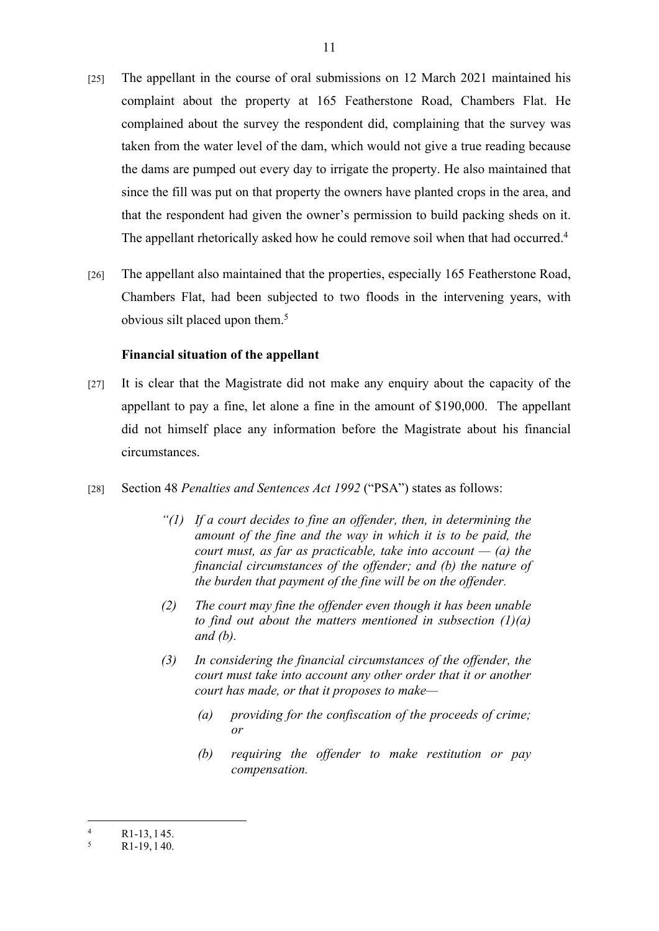- [25] The appellant in the course of oral submissions on 12 March 2021 maintained his complaint about the property at 165 Featherstone Road, Chambers Flat. He complained about the survey the respondent did, complaining that the survey was taken from the water level of the dam, which would not give a true reading because the dams are pumped out every day to irrigate the property. He also maintained that since the fill was put on that property the owners have planted crops in the area, and that the respondent had given the owner's permission to build packing sheds on it. The appellant rhetorically asked how he could remove soil when that had occurred.<sup>4</sup>
- [26] The appellant also maintained that the properties, especially 165 Featherstone Road, Chambers Flat, had been subjected to two floods in the intervening years, with obvious silt placed upon them.<sup>5</sup>

#### **Financial situation of the appellant**

- [27] It is clear that the Magistrate did not make any enquiry about the capacity of the appellant to pay a fine, let alone a fine in the amount of \$190,000. The appellant did not himself place any information before the Magistrate about his financial circumstances.
- [28] Section 48 *Penalties and Sentences Act 1992* ("PSA") states as follows:
	- *"(1) If a court decides to fine an offender, then, in determining the amount of the fine and the way in which it is to be paid, the court must, as far as practicable, take into account — (a) the financial circumstances of the offender; and (b) the nature of the burden that payment of the fine will be on the offender.*
	- *(2) The court may fine the offender even though it has been unable to find out about the matters mentioned in subsection (1)(a) and (b).*
	- *(3) In considering the financial circumstances of the offender, the court must take into account any other order that it or another court has made, or that it proposes to make—* 
		- *(a) providing for the confiscation of the proceeds of crime; or*
		- *(b) requiring the offender to make restitution or pay compensation.*

<sup>4</sup> R1-13, l 45.

<sup>5</sup> R1-19, l 40.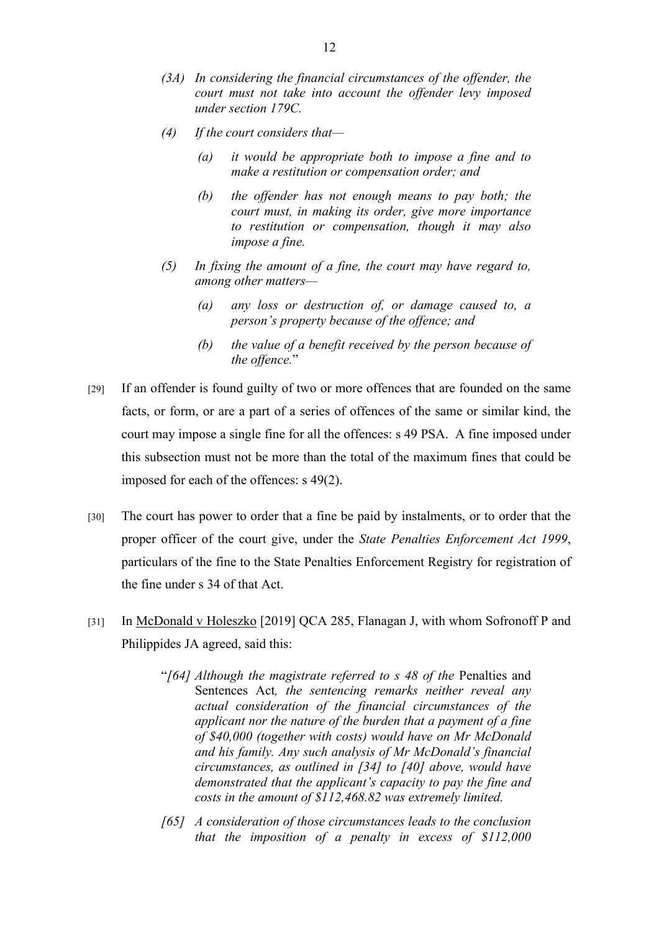- *(3A) In considering the financial circumstances of the offender, the court must not take into account the offender levy imposed under section 179C.*
- *(4) If the court considers that—* 
	- *(a) it would be appropriate both to impose a fine and to make a restitution or compensation order; and*
	- *(b) the offender has not enough means to pay both; the court must, in making its order, give more importance to restitution or compensation, though it may also impose a fine.*
- *(5) In fixing the amount of a fine, the court may have regard to, among other matters—* 
	- *(a) any loss or destruction of, or damage caused to, a person's property because of the offence; and*
	- *(b) the value of a benefit received by the person because of the offence.*"
- [29] If an offender is found guilty of two or more offences that are founded on the same facts, or form, or are a part of a series of offences of the same or similar kind, the court may impose a single fine for all the offences: s 49 PSA. A fine imposed under this subsection must not be more than the total of the maximum fines that could be imposed for each of the offences: s 49(2).
- [30] The court has power to order that a fine be paid by instalments, or to order that the proper officer of the court give, under the *State Penalties Enforcement Act 1999*, particulars of the fine to the State Penalties Enforcement Registry for registration of the fine under s 34 of that Act.
- [31] In McDonald v Holeszko [2019] QCA 285, Flanagan J, with whom Sofronoff P and Philippides JA agreed, said this:
	- "*[64] Although the magistrate referred to s 48 of the* Penalties and Sentences Act*, the sentencing remarks neither reveal any actual consideration of the financial circumstances of the applicant nor the nature of the burden that a payment of a fine of \$40,000 (together with costs) would have on Mr McDonald and his family. Any such analysis of Mr McDonald's financial circumstances, as outlined in [34] to [40] above, would have demonstrated that the applicant's capacity to pay the fine and costs in the amount of \$112,468.82 was extremely limited.*
	- *[65] A consideration of those circumstances leads to the conclusion that the imposition of a penalty in excess of \$112,000*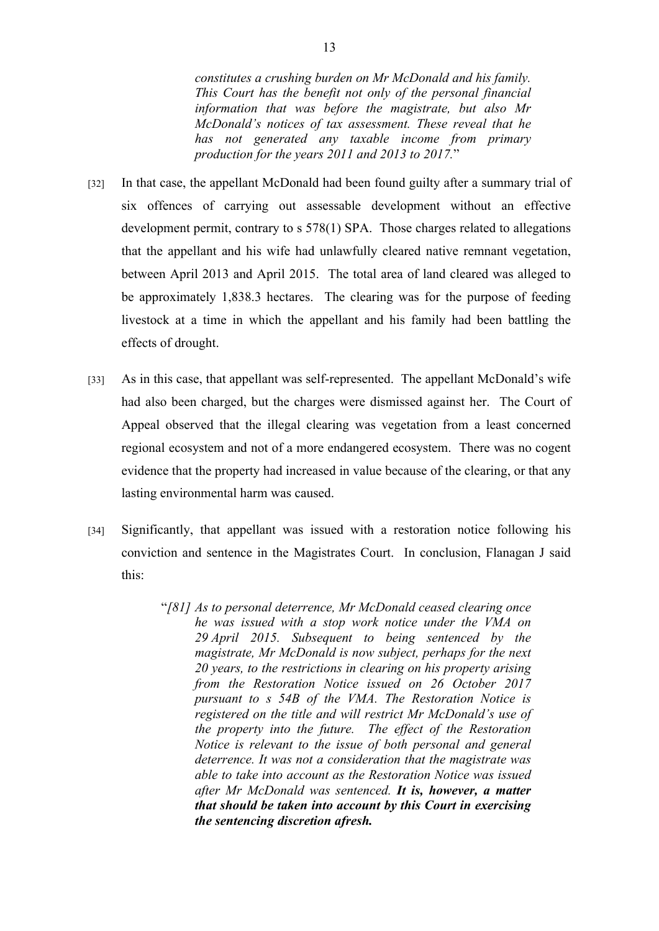*constitutes a crushing burden on Mr McDonald and his family. This Court has the benefit not only of the personal financial information that was before the magistrate, but also Mr McDonald's notices of tax assessment. These reveal that he has not generated any taxable income from primary production for the years 2011 and 2013 to 2017.*"

- [32] In that case, the appellant McDonald had been found guilty after a summary trial of six offences of carrying out assessable development without an effective development permit, contrary to s 578(1) SPA. Those charges related to allegations that the appellant and his wife had unlawfully cleared native remnant vegetation, between April 2013 and April 2015. The total area of land cleared was alleged to be approximately 1,838.3 hectares. The clearing was for the purpose of feeding livestock at a time in which the appellant and his family had been battling the effects of drought.
- [33] As in this case, that appellant was self-represented. The appellant McDonald's wife had also been charged, but the charges were dismissed against her. The Court of Appeal observed that the illegal clearing was vegetation from a least concerned regional ecosystem and not of a more endangered ecosystem. There was no cogent evidence that the property had increased in value because of the clearing, or that any lasting environmental harm was caused.
- [34] Significantly, that appellant was issued with a restoration notice following his conviction and sentence in the Magistrates Court. In conclusion, Flanagan J said this:
	- "*[81] As to personal deterrence, Mr McDonald ceased clearing once he was issued with a stop work notice under the VMA on 29 April 2015. Subsequent to being sentenced by the magistrate, Mr McDonald is now subject, perhaps for the next 20 years, to the restrictions in clearing on his property arising from the Restoration Notice issued on 26 October 2017 pursuant to s 54B of the VMA. The Restoration Notice is registered on the title and will restrict Mr McDonald's use of the property into the future. The effect of the Restoration Notice is relevant to the issue of both personal and general deterrence. It was not a consideration that the magistrate was able to take into account as the Restoration Notice was issued after Mr McDonald was sentenced. It is, however, a matter that should be taken into account by this Court in exercising the sentencing discretion afresh.*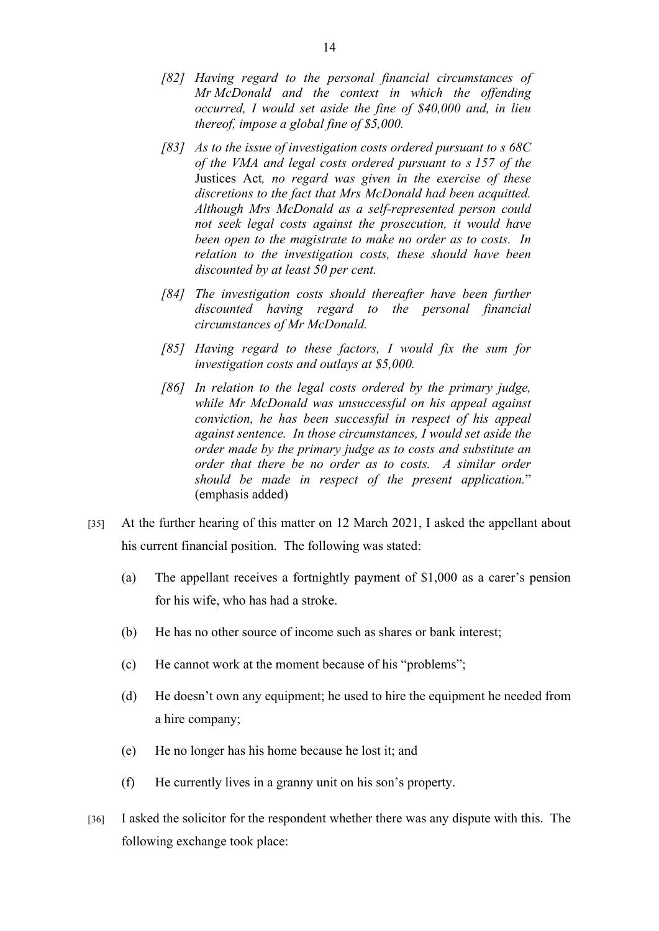- *[82] Having regard to the personal financial circumstances of Mr McDonald and the context in which the offending occurred, I would set aside the fine of \$40,000 and, in lieu thereof, impose a global fine of \$5,000.*
- *[83] As to the issue of investigation costs ordered pursuant to s 68C of the VMA and legal costs ordered pursuant to s 157 of the*  Justices Act*, no regard was given in the exercise of these discretions to the fact that Mrs McDonald had been acquitted. Although Mrs McDonald as a self-represented person could not seek legal costs against the prosecution, it would have been open to the magistrate to make no order as to costs. In relation to the investigation costs, these should have been discounted by at least 50 per cent.*
- *[84] The investigation costs should thereafter have been further discounted having regard to the personal financial circumstances of Mr McDonald.*
- *[85] Having regard to these factors, I would fix the sum for investigation costs and outlays at \$5,000.*
- *[86] In relation to the legal costs ordered by the primary judge, while Mr McDonald was unsuccessful on his appeal against conviction, he has been successful in respect of his appeal against sentence. In those circumstances, I would set aside the order made by the primary judge as to costs and substitute an order that there be no order as to costs. A similar order should be made in respect of the present application.*" (emphasis added)
- [35] At the further hearing of this matter on 12 March 2021, I asked the appellant about his current financial position. The following was stated:
	- (a) The appellant receives a fortnightly payment of \$1,000 as a carer's pension for his wife, who has had a stroke.
	- (b) He has no other source of income such as shares or bank interest;
	- (c) He cannot work at the moment because of his "problems";
	- (d) He doesn't own any equipment; he used to hire the equipment he needed from a hire company;
	- (e) He no longer has his home because he lost it; and
	- (f) He currently lives in a granny unit on his son's property.
- [36] I asked the solicitor for the respondent whether there was any dispute with this. The following exchange took place: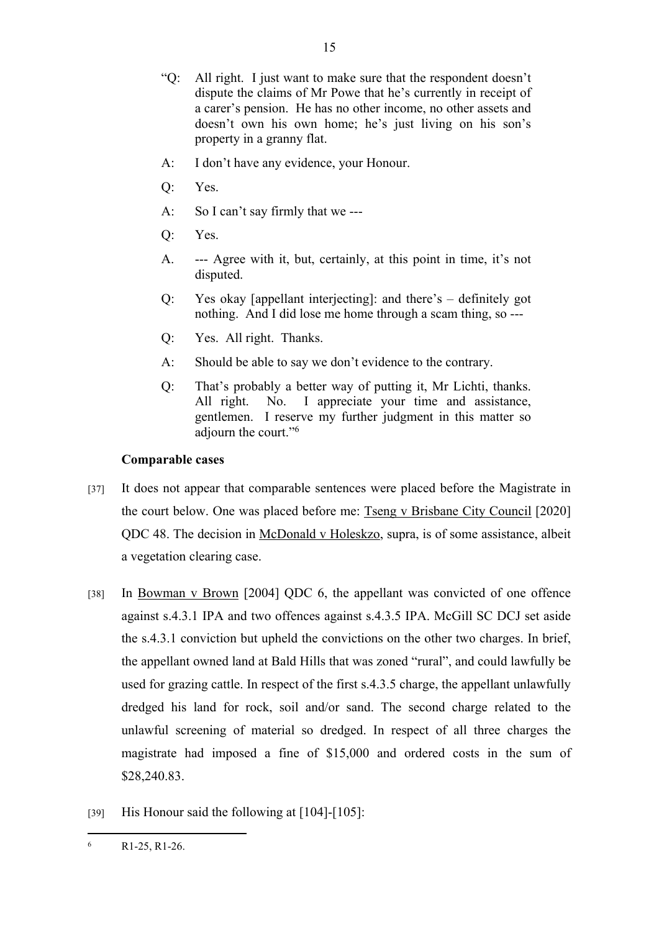- "Q: All right. I just want to make sure that the respondent doesn't dispute the claims of Mr Powe that he's currently in receipt of a carer's pension. He has no other income, no other assets and doesn't own his own home; he's just living on his son's property in a granny flat.
- A: I don't have any evidence, your Honour.
- Q: Yes.
- A: So I can't say firmly that we ---
- Q: Yes.
- A. --- Agree with it, but, certainly, at this point in time, it's not disputed.
- Q: Yes okay [appellant interjecting]: and there's definitely got nothing. And I did lose me home through a scam thing, so ---
- Q: Yes. All right. Thanks.
- A: Should be able to say we don't evidence to the contrary.
- Q: That's probably a better way of putting it, Mr Lichti, thanks. All right. No. I appreciate your time and assistance, gentlemen. I reserve my further judgment in this matter so adjourn the court."<sup>6</sup>

#### **Comparable cases**

- [37] It does not appear that comparable sentences were placed before the Magistrate in the court below. One was placed before me: Tseng v Brisbane City Council [2020] QDC 48. The decision in McDonald v Holeskzo, supra, is of some assistance, albeit a vegetation clearing case.
- [38] In Bowman v Brown [2004] QDC 6, the appellant was convicted of one offence against s.4.3.1 IPA and two offences against s.4.3.5 IPA. McGill SC DCJ set aside the s.4.3.1 conviction but upheld the convictions on the other two charges. In brief, the appellant owned land at Bald Hills that was zoned "rural", and could lawfully be used for grazing cattle. In respect of the first s.4.3.5 charge, the appellant unlawfully dredged his land for rock, soil and/or sand. The second charge related to the unlawful screening of material so dredged. In respect of all three charges the magistrate had imposed a fine of \$15,000 and ordered costs in the sum of \$28,240.83.
- [39] His Honour said the following at [104]-[105]:

<sup>6</sup> R1-25, R1-26.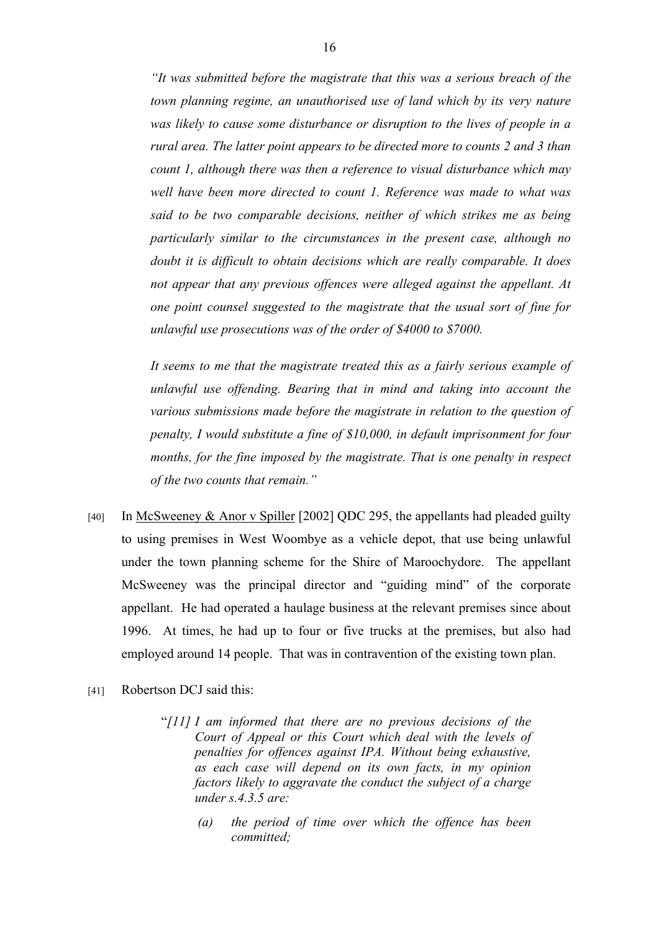*"It was submitted before the magistrate that this was a serious breach of the town planning regime, an unauthorised use of land which by its very nature was likely to cause some disturbance or disruption to the lives of people in a rural area. The latter point appears to be directed more to counts 2 and 3 than count 1, although there was then a reference to visual disturbance which may well have been more directed to count 1. Reference was made to what was said to be two comparable decisions, neither of which strikes me as being particularly similar to the circumstances in the present case, although no doubt it is difficult to obtain decisions which are really comparable. It does not appear that any previous offences were alleged against the appellant. At one point counsel suggested to the magistrate that the usual sort of fine for unlawful use prosecutions was of the order of \$4000 to \$7000.*

*It seems to me that the magistrate treated this as a fairly serious example of unlawful use offending. Bearing that in mind and taking into account the various submissions made before the magistrate in relation to the question of penalty, I would substitute a fine of \$10,000, in default imprisonment for four months, for the fine imposed by the magistrate. That is one penalty in respect of the two counts that remain."*

- [40] In McSweeney & Anor v Spiller [2002] QDC 295, the appellants had pleaded guilty to using premises in West Woombye as a vehicle depot, that use being unlawful under the town planning scheme for the Shire of Maroochydore. The appellant McSweeney was the principal director and "guiding mind" of the corporate appellant. He had operated a haulage business at the relevant premises since about 1996. At times, he had up to four or five trucks at the premises, but also had employed around 14 people. That was in contravention of the existing town plan.
- [41] Robertson DCJ said this:
	- "*[11] I am informed that there are no previous decisions of the Court of Appeal or this Court which deal with the levels of penalties for offences against IPA. Without being exhaustive, as each case will depend on its own facts, in my opinion factors likely to aggravate the conduct the subject of a charge under s.4.3.5 are:*
		- *(a) the period of time over which the offence has been committed;*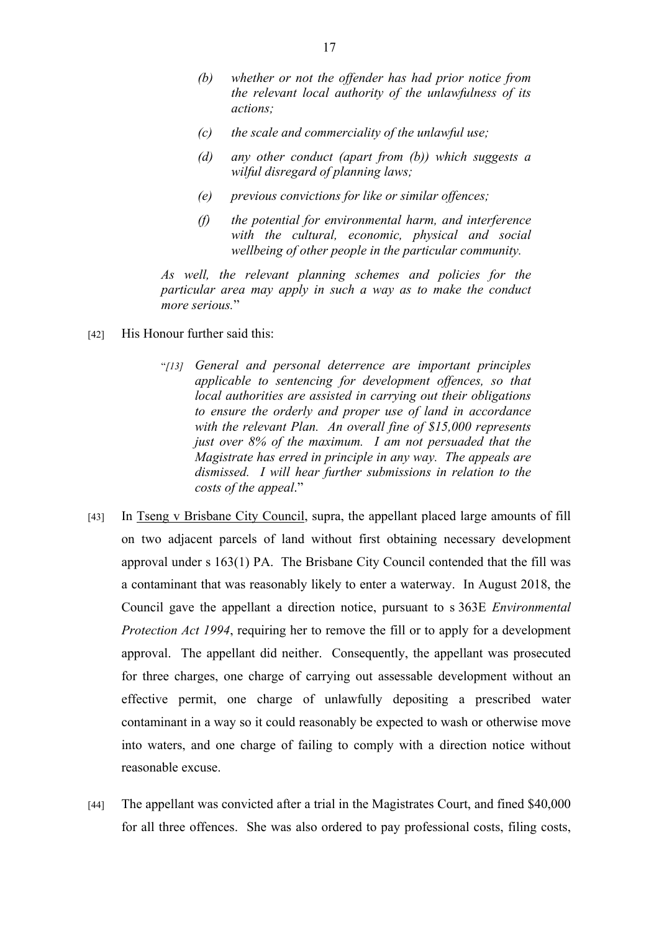- *(b) whether or not the offender has had prior notice from the relevant local authority of the unlawfulness of its actions;*
- *(c) the scale and commerciality of the unlawful use;*
- *(d) any other conduct (apart from (b)) which suggests a wilful disregard of planning laws;*
- *(e) previous convictions for like or similar offences;*
- *(f) the potential for environmental harm, and interference with the cultural, economic, physical and social wellbeing of other people in the particular community.*

*As well, the relevant planning schemes and policies for the particular area may apply in such a way as to make the conduct more serious.*"

- [42] His Honour further said this:
	- "*[13] General and personal deterrence are important principles applicable to sentencing for development offences, so that local authorities are assisted in carrying out their obligations to ensure the orderly and proper use of land in accordance with the relevant Plan. An overall fine of \$15,000 represents just over 8% of the maximum. I am not persuaded that the Magistrate has erred in principle in any way. The appeals are dismissed. I will hear further submissions in relation to the costs of the appeal*."
- [43] In Tseng v Brisbane City Council, supra, the appellant placed large amounts of fill on two adjacent parcels of land without first obtaining necessary development approval under s 163(1) PA. The Brisbane City Council contended that the fill was a contaminant that was reasonably likely to enter a waterway. In August 2018, the Council gave the appellant a direction notice, pursuant to s 363E *Environmental Protection Act 1994*, requiring her to remove the fill or to apply for a development approval. The appellant did neither. Consequently, the appellant was prosecuted for three charges, one charge of carrying out assessable development without an effective permit, one charge of unlawfully depositing a prescribed water contaminant in a way so it could reasonably be expected to wash or otherwise move into waters, and one charge of failing to comply with a direction notice without reasonable excuse.
- [44] The appellant was convicted after a trial in the Magistrates Court, and fined \$40,000 for all three offences. She was also ordered to pay professional costs, filing costs,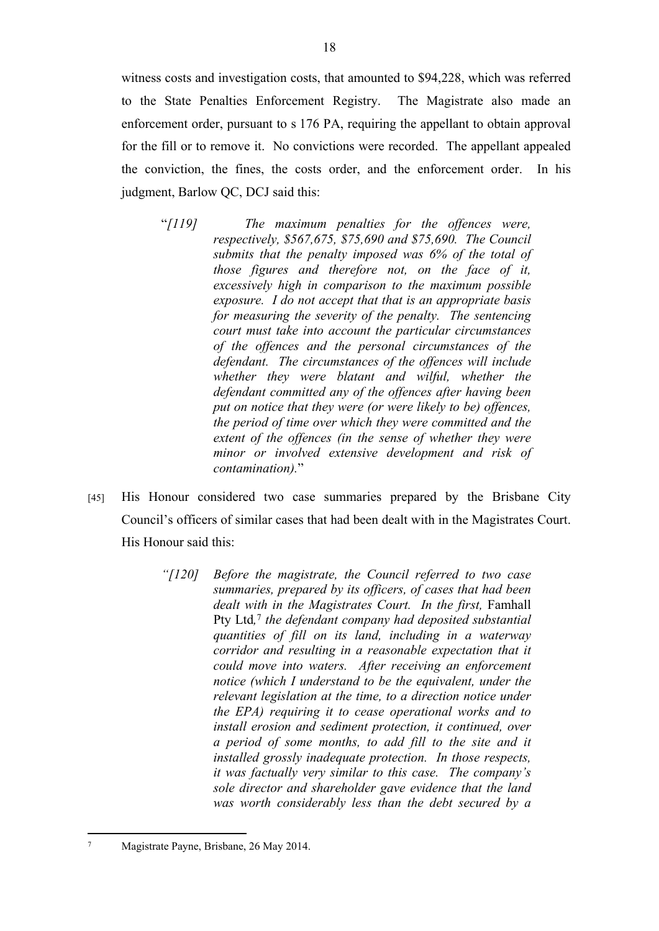witness costs and investigation costs, that amounted to \$94,228, which was referred to the State Penalties Enforcement Registry. The Magistrate also made an enforcement order, pursuant to s 176 PA, requiring the appellant to obtain approval for the fill or to remove it. No convictions were recorded. The appellant appealed the conviction, the fines, the costs order, and the enforcement order. In his judgment, Barlow QC, DCJ said this:

- "*[119] The maximum penalties for the offences were, respectively, \$567,675, \$75,690 and \$75,690. The Council submits that the penalty imposed was 6% of the total of those figures and therefore not, on the face of it, excessively high in comparison to the maximum possible exposure. I do not accept that that is an appropriate basis for measuring the severity of the penalty. The sentencing court must take into account the particular circumstances of the offences and the personal circumstances of the defendant. The circumstances of the offences will include whether they were blatant and wilful, whether the defendant committed any of the offences after having been put on notice that they were (or were likely to be) offences, the period of time over which they were committed and the extent of the offences (in the sense of whether they were minor or involved extensive development and risk of contamination).*"
- [45] His Honour considered two case summaries prepared by the Brisbane City Council's officers of similar cases that had been dealt with in the Magistrates Court. His Honour said this:
	- *"[120] Before the magistrate, the Council referred to two case summaries, prepared by its officers, of cases that had been dealt with in the Magistrates Court. In the first,* Famhall Pty Ltd*,* 7 *the defendant company had deposited substantial quantities of fill on its land, including in a waterway corridor and resulting in a reasonable expectation that it could move into waters. After receiving an enforcement notice (which I understand to be the equivalent, under the relevant legislation at the time, to a direction notice under the EPA) requiring it to cease operational works and to install erosion and sediment protection, it continued, over a period of some months, to add fill to the site and it installed grossly inadequate protection. In those respects, it was factually very similar to this case. The company's sole director and shareholder gave evidence that the land was worth considerably less than the debt secured by a*

<sup>7</sup> Magistrate Payne, Brisbane, 26 May 2014.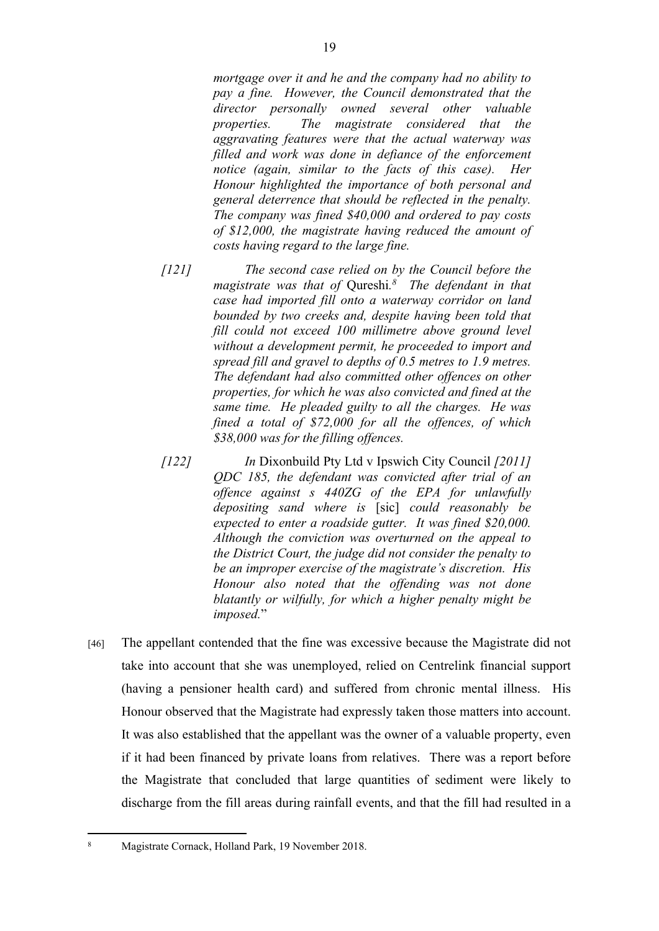*mortgage over it and he and the company had no ability to pay a fine. However, the Council demonstrated that the director personally owned several other valuable properties. The magistrate considered that the aggravating features were that the actual waterway was filled and work was done in defiance of the enforcement notice (again, similar to the facts of this case). Her Honour highlighted the importance of both personal and general deterrence that should be reflected in the penalty. The company was fined \$40,000 and ordered to pay costs of \$12,000, the magistrate having reduced the amount of costs having regard to the large fine.*

- *[121] The second case relied on by the Council before the magistrate was that of* Qureshi*. 8 The defendant in that case had imported fill onto a waterway corridor on land bounded by two creeks and, despite having been told that fill could not exceed 100 millimetre above ground level without a development permit, he proceeded to import and spread fill and gravel to depths of 0.5 metres to 1.9 metres. The defendant had also committed other offences on other properties, for which he was also convicted and fined at the same time. He pleaded guilty to all the charges. He was fined a total of \$72,000 for all the offences, of which \$38,000 was for the filling offences.*
- *[122] In* Dixonbuild Pty Ltd v Ipswich City Council *[2011] QDC 185, the defendant was convicted after trial of an offence against s 440ZG of the EPA for unlawfully depositing sand where is* [sic] *could reasonably be expected to enter a roadside gutter. It was fined \$20,000. Although the conviction was overturned on the appeal to the District Court, the judge did not consider the penalty to be an improper exercise of the magistrate's discretion. His Honour also noted that the offending was not done blatantly or wilfully, for which a higher penalty might be imposed.*"
- [46] The appellant contended that the fine was excessive because the Magistrate did not take into account that she was unemployed, relied on Centrelink financial support (having a pensioner health card) and suffered from chronic mental illness. His Honour observed that the Magistrate had expressly taken those matters into account. It was also established that the appellant was the owner of a valuable property, even if it had been financed by private loans from relatives. There was a report before the Magistrate that concluded that large quantities of sediment were likely to discharge from the fill areas during rainfall events, and that the fill had resulted in a

<sup>8</sup> Magistrate Cornack, Holland Park, 19 November 2018.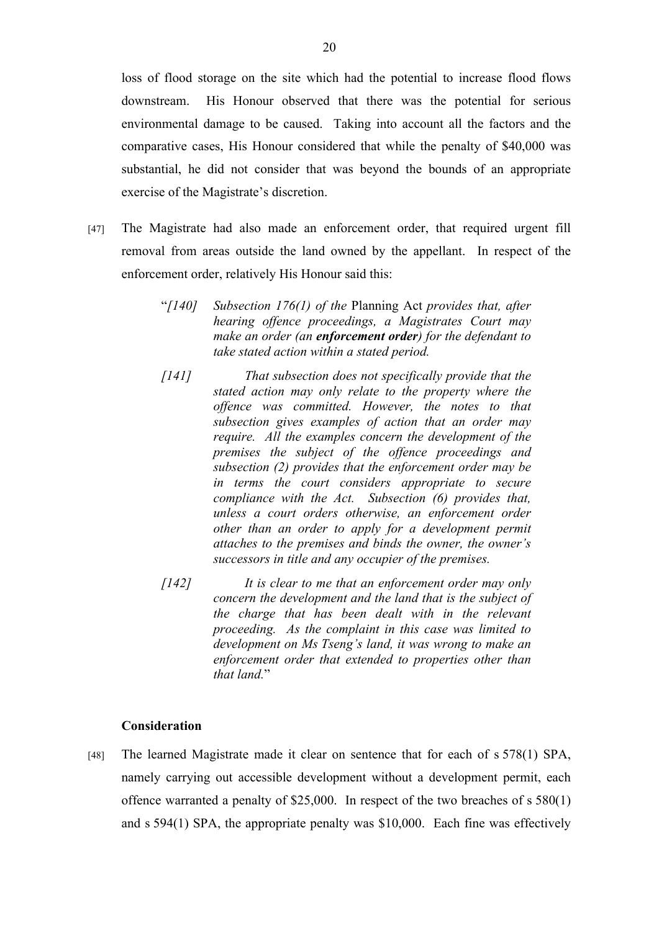loss of flood storage on the site which had the potential to increase flood flows downstream. His Honour observed that there was the potential for serious environmental damage to be caused. Taking into account all the factors and the comparative cases, His Honour considered that while the penalty of \$40,000 was substantial, he did not consider that was beyond the bounds of an appropriate exercise of the Magistrate's discretion.

- [47] The Magistrate had also made an enforcement order, that required urgent fill removal from areas outside the land owned by the appellant. In respect of the enforcement order, relatively His Honour said this:
	- "*[140] Subsection 176(1) of the* Planning Act *provides that, after hearing offence proceedings, a Magistrates Court may make an order (an enforcement order) for the defendant to take stated action within a stated period.*
	- *[141] That subsection does not specifically provide that the stated action may only relate to the property where the offence was committed. However, the notes to that subsection gives examples of action that an order may require. All the examples concern the development of the premises the subject of the offence proceedings and subsection (2) provides that the enforcement order may be in terms the court considers appropriate to secure compliance with the Act. Subsection (6) provides that, unless a court orders otherwise, an enforcement order other than an order to apply for a development permit attaches to the premises and binds the owner, the owner's successors in title and any occupier of the premises.*
	- *[142] It is clear to me that an enforcement order may only concern the development and the land that is the subject of the charge that has been dealt with in the relevant proceeding. As the complaint in this case was limited to development on Ms Tseng's land, it was wrong to make an enforcement order that extended to properties other than that land.*"

# **Consideration**

[48] The learned Magistrate made it clear on sentence that for each of s 578(1) SPA, namely carrying out accessible development without a development permit, each offence warranted a penalty of \$25,000. In respect of the two breaches of s 580(1) and s 594(1) SPA, the appropriate penalty was \$10,000. Each fine was effectively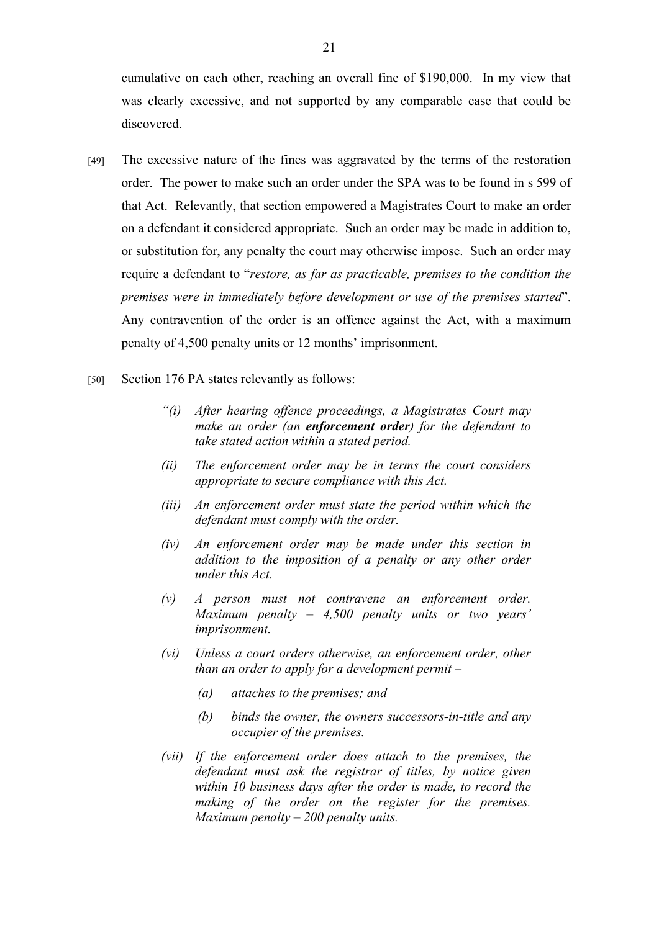cumulative on each other, reaching an overall fine of \$190,000. In my view that was clearly excessive, and not supported by any comparable case that could be discovered.

- [49] The excessive nature of the fines was aggravated by the terms of the restoration order. The power to make such an order under the SPA was to be found in s 599 of that Act. Relevantly, that section empowered a Magistrates Court to make an order on a defendant it considered appropriate. Such an order may be made in addition to, or substitution for, any penalty the court may otherwise impose. Such an order may require a defendant to "*restore, as far as practicable, premises to the condition the premises were in immediately before development or use of the premises started*". Any contravention of the order is an offence against the Act, with a maximum penalty of 4,500 penalty units or 12 months' imprisonment.
- [50] Section 176 PA states relevantly as follows:
	- *"(i) After hearing offence proceedings, a Magistrates Court may make an order (an enforcement order) for the defendant to take stated action within a stated period.*
	- *(ii) The enforcement order may be in terms the court considers appropriate to secure compliance with this Act.*
	- *(iii) An enforcement order must state the period within which the defendant must comply with the order.*
	- *(iv) An enforcement order may be made under this section in addition to the imposition of a penalty or any other order under this Act.*
	- *(v) A person must not contravene an enforcement order. Maximum penalty – 4,500 penalty units or two years' imprisonment.*
	- *(vi) Unless a court orders otherwise, an enforcement order, other than an order to apply for a development permit –*
		- *(a) attaches to the premises; and*
		- *(b) binds the owner, the owners successors-in-title and any occupier of the premises.*
	- *(vii) If the enforcement order does attach to the premises, the defendant must ask the registrar of titles, by notice given within 10 business days after the order is made, to record the making of the order on the register for the premises. Maximum penalty – 200 penalty units.*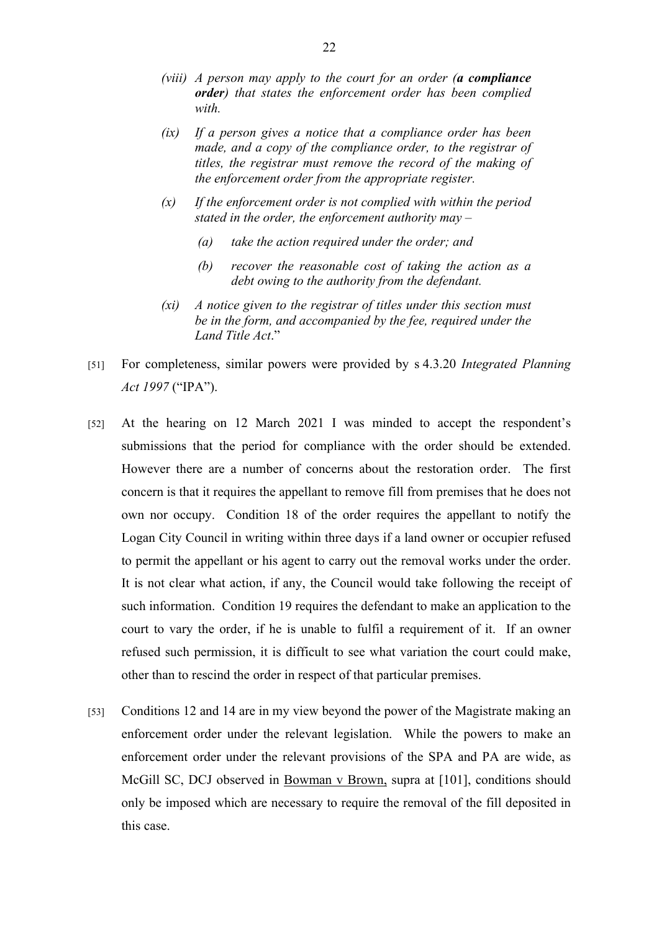- *(viii) A person may apply to the court for an order (a compliance order) that states the enforcement order has been complied with.*
- *(ix) If a person gives a notice that a compliance order has been made, and a copy of the compliance order, to the registrar of titles, the registrar must remove the record of the making of the enforcement order from the appropriate register.*
- *(x) If the enforcement order is not complied with within the period stated in the order, the enforcement authority may –*
	- *(a) take the action required under the order; and*
	- *(b) recover the reasonable cost of taking the action as a debt owing to the authority from the defendant.*
- *(xi) A notice given to the registrar of titles under this section must be in the form, and accompanied by the fee, required under the Land Title Act*."
- [51] For completeness, similar powers were provided by s 4.3.20 *Integrated Planning Act 1997* ("IPA").
- [52] At the hearing on 12 March 2021 I was minded to accept the respondent's submissions that the period for compliance with the order should be extended. However there are a number of concerns about the restoration order. The first concern is that it requires the appellant to remove fill from premises that he does not own nor occupy. Condition 18 of the order requires the appellant to notify the Logan City Council in writing within three days if a land owner or occupier refused to permit the appellant or his agent to carry out the removal works under the order. It is not clear what action, if any, the Council would take following the receipt of such information. Condition 19 requires the defendant to make an application to the court to vary the order, if he is unable to fulfil a requirement of it. If an owner refused such permission, it is difficult to see what variation the court could make, other than to rescind the order in respect of that particular premises.
- [53] Conditions 12 and 14 are in my view beyond the power of the Magistrate making an enforcement order under the relevant legislation. While the powers to make an enforcement order under the relevant provisions of the SPA and PA are wide, as McGill SC, DCJ observed in Bowman v Brown, supra at [101], conditions should only be imposed which are necessary to require the removal of the fill deposited in this case.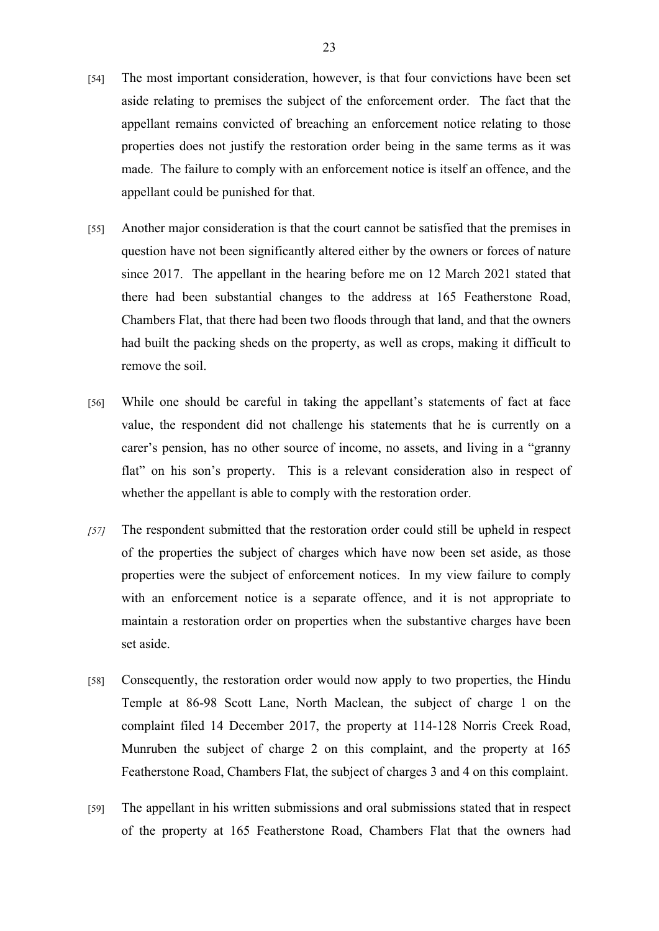- [54] The most important consideration, however, is that four convictions have been set aside relating to premises the subject of the enforcement order. The fact that the appellant remains convicted of breaching an enforcement notice relating to those properties does not justify the restoration order being in the same terms as it was made. The failure to comply with an enforcement notice is itself an offence, and the appellant could be punished for that.
- [55] Another major consideration is that the court cannot be satisfied that the premises in question have not been significantly altered either by the owners or forces of nature since 2017. The appellant in the hearing before me on 12 March 2021 stated that there had been substantial changes to the address at 165 Featherstone Road, Chambers Flat, that there had been two floods through that land, and that the owners had built the packing sheds on the property, as well as crops, making it difficult to remove the soil.
- [56] While one should be careful in taking the appellant's statements of fact at face value, the respondent did not challenge his statements that he is currently on a carer's pension, has no other source of income, no assets, and living in a "granny flat" on his son's property. This is a relevant consideration also in respect of whether the appellant is able to comply with the restoration order.
- *[57]* The respondent submitted that the restoration order could still be upheld in respect of the properties the subject of charges which have now been set aside, as those properties were the subject of enforcement notices. In my view failure to comply with an enforcement notice is a separate offence, and it is not appropriate to maintain a restoration order on properties when the substantive charges have been set aside.
- [58] Consequently, the restoration order would now apply to two properties, the Hindu Temple at 86-98 Scott Lane, North Maclean, the subject of charge 1 on the complaint filed 14 December 2017, the property at 114-128 Norris Creek Road, Munruben the subject of charge 2 on this complaint, and the property at 165 Featherstone Road, Chambers Flat, the subject of charges 3 and 4 on this complaint.
- [59] The appellant in his written submissions and oral submissions stated that in respect of the property at 165 Featherstone Road, Chambers Flat that the owners had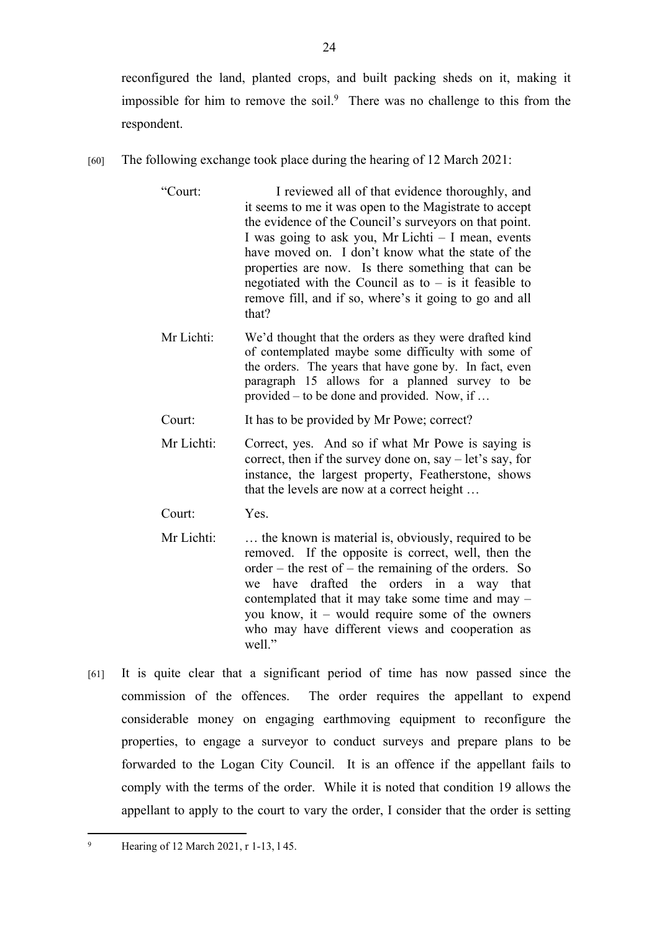reconfigured the land, planted crops, and built packing sheds on it, making it impossible for him to remove the soil.<sup>9</sup> There was no challenge to this from the respondent.

- [60] The following exchange took place during the hearing of 12 March 2021:
	- "Court: I reviewed all of that evidence thoroughly, and it seems to me it was open to the Magistrate to accept the evidence of the Council's surveyors on that point. I was going to ask you, Mr Lichti – I mean, events have moved on. I don't know what the state of the properties are now. Is there something that can be negotiated with the Council as to  $-$  is it feasible to remove fill, and if so, where's it going to go and all that?
	- Mr Lichti: We'd thought that the orders as they were drafted kind of contemplated maybe some difficulty with some of the orders. The years that have gone by. In fact, even paragraph 15 allows for a planned survey to be provided – to be done and provided. Now, if …
	- Court: It has to be provided by Mr Powe; correct?
	- Mr Lichti: Correct, yes. And so if what Mr Powe is saying is correct, then if the survey done on, say – let's say, for instance, the largest property, Featherstone, shows that the levels are now at a correct height …
	- Court: Yes.
	- Mr Lichti: ... the known is material is, obviously, required to be removed. If the opposite is correct, well, then the order – the rest of – the remaining of the orders. So we have drafted the orders in a way that contemplated that it may take some time and may – you know, it – would require some of the owners who may have different views and cooperation as well."
- [61] It is quite clear that a significant period of time has now passed since the commission of the offences. The order requires the appellant to expend considerable money on engaging earthmoving equipment to reconfigure the properties, to engage a surveyor to conduct surveys and prepare plans to be forwarded to the Logan City Council. It is an offence if the appellant fails to comply with the terms of the order. While it is noted that condition 19 allows the appellant to apply to the court to vary the order, I consider that the order is setting

<sup>9</sup> Hearing of 12 March 2021, r 1-13, l 45.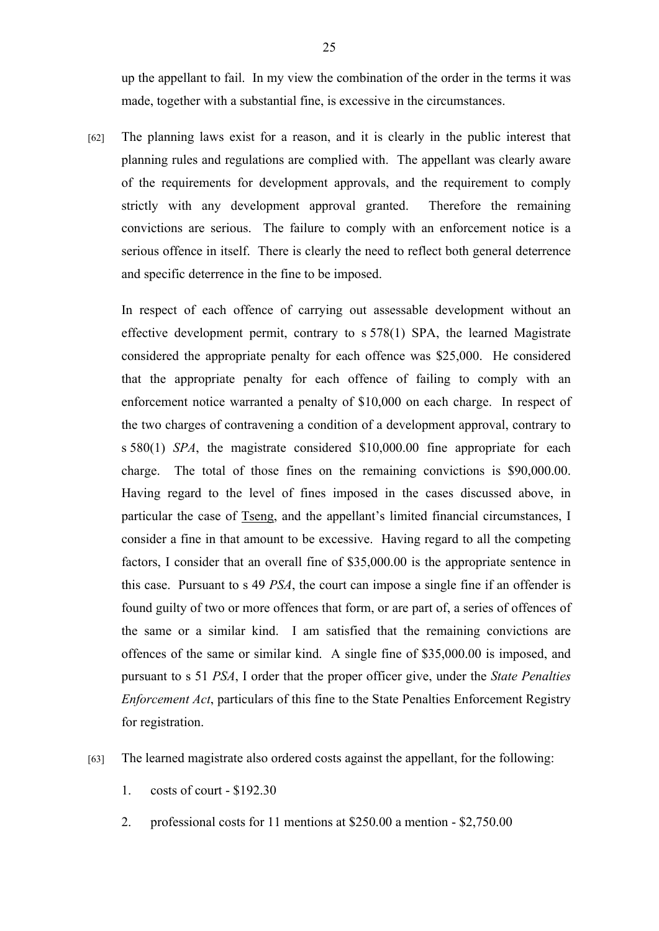up the appellant to fail. In my view the combination of the order in the terms it was made, together with a substantial fine, is excessive in the circumstances.

[62] The planning laws exist for a reason, and it is clearly in the public interest that planning rules and regulations are complied with. The appellant was clearly aware of the requirements for development approvals, and the requirement to comply strictly with any development approval granted. Therefore the remaining convictions are serious. The failure to comply with an enforcement notice is a serious offence in itself. There is clearly the need to reflect both general deterrence and specific deterrence in the fine to be imposed.

In respect of each offence of carrying out assessable development without an effective development permit, contrary to s 578(1) SPA, the learned Magistrate considered the appropriate penalty for each offence was \$25,000. He considered that the appropriate penalty for each offence of failing to comply with an enforcement notice warranted a penalty of \$10,000 on each charge. In respect of the two charges of contravening a condition of a development approval, contrary to s 580(1) *SPA*, the magistrate considered \$10,000.00 fine appropriate for each charge. The total of those fines on the remaining convictions is \$90,000.00. Having regard to the level of fines imposed in the cases discussed above, in particular the case of Tseng, and the appellant's limited financial circumstances, I consider a fine in that amount to be excessive. Having regard to all the competing factors, I consider that an overall fine of \$35,000.00 is the appropriate sentence in this case. Pursuant to s 49 *PSA*, the court can impose a single fine if an offender is found guilty of two or more offences that form, or are part of, a series of offences of the same or a similar kind. I am satisfied that the remaining convictions are offences of the same or similar kind. A single fine of \$35,000.00 is imposed, and pursuant to s 51 *PSA*, I order that the proper officer give, under the *State Penalties Enforcement Act*, particulars of this fine to the State Penalties Enforcement Registry for registration.

- [63] The learned magistrate also ordered costs against the appellant, for the following:
	- 1. costs of court \$192.30
	- 2. professional costs for 11 mentions at \$250.00 a mention \$2,750.00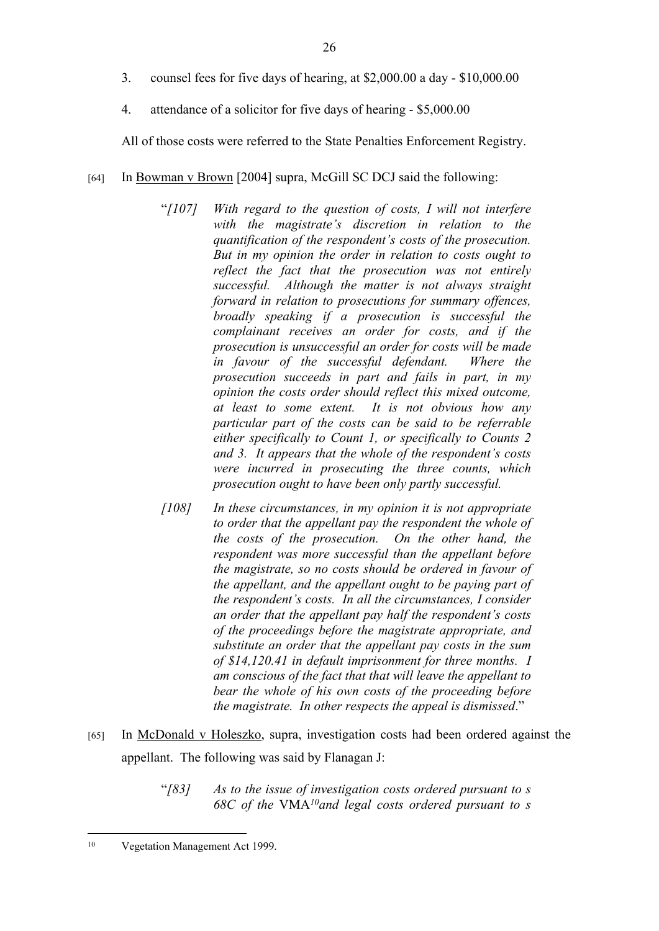- 3. counsel fees for five days of hearing, at \$2,000.00 a day \$10,000.00
- 4. attendance of a solicitor for five days of hearing \$5,000.00

All of those costs were referred to the State Penalties Enforcement Registry.

- [64] In Bowman v Brown [2004] supra, McGill SC DCJ said the following:
	- "*[107] With regard to the question of costs, I will not interfere with the magistrate's discretion in relation to the quantification of the respondent's costs of the prosecution. But in my opinion the order in relation to costs ought to reflect the fact that the prosecution was not entirely successful. Although the matter is not always straight forward in relation to prosecutions for summary offences, broadly speaking if a prosecution is successful the complainant receives an order for costs, and if the prosecution is unsuccessful an order for costs will be made in favour of the successful defendant. Where the prosecution succeeds in part and fails in part, in my opinion the costs order should reflect this mixed outcome, at least to some extent. It is not obvious how any particular part of the costs can be said to be referrable either specifically to Count 1, or specifically to Counts 2 and 3. It appears that the whole of the respondent's costs were incurred in prosecuting the three counts, which prosecution ought to have been only partly successful.*
	- *[108] In these circumstances, in my opinion it is not appropriate to order that the appellant pay the respondent the whole of the costs of the prosecution. On the other hand, the respondent was more successful than the appellant before the magistrate, so no costs should be ordered in favour of the appellant, and the appellant ought to be paying part of the respondent's costs. In all the circumstances, I consider an order that the appellant pay half the respondent's costs of the proceedings before the magistrate appropriate, and substitute an order that the appellant pay costs in the sum of \$14,120.41 in default imprisonment for three months. I am conscious of the fact that that will leave the appellant to bear the whole of his own costs of the proceeding before the magistrate. In other respects the appeal is dismissed*."
- [65] In McDonald v Holeszko, supra, investigation costs had been ordered against the appellant. The following was said by Flanagan J:
	- "*[83] As to the issue of investigation costs ordered pursuant to s 68C of the* VMA*<sup>10</sup>and legal costs ordered pursuant to s*

<sup>&</sup>lt;sup>10</sup> Vegetation Management Act 1999.